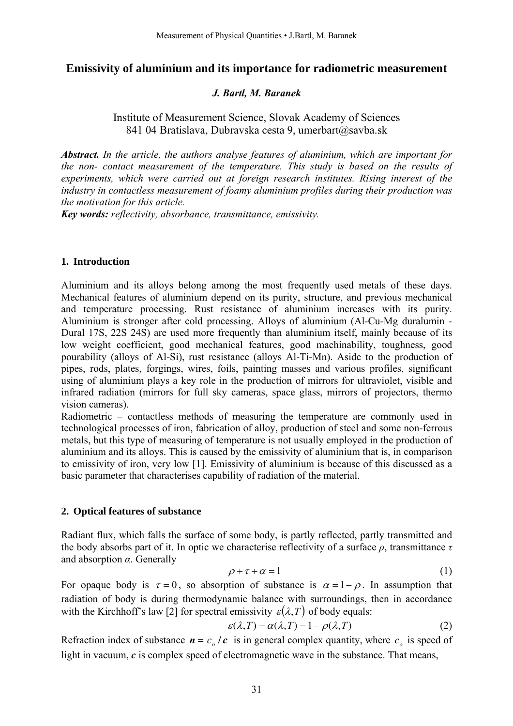# **Emissivity of aluminium and its importance for radiometric measurement**

## *J. Bartl, M. Baranek*

# Institute of Measurement Science, Slovak Academy of Sciences 841 04 Bratislava, Dubravska cesta 9, umerbart@savba.sk

*Abstract. In the article, the authors analyse features of aluminium, which are important for the non- contact measurement of the temperature. This study is based on the results of experiments, which were carried out at foreign research institutes. Rising interest of the industry in contactless measurement of foamy aluminium profiles during their production was the motivation for this article.* 

*Key words: reflectivity, absorbance, transmittance, emissivity.*

## **1. Introduction**

Aluminium and its alloys belong among the most frequently used metals of these days. Mechanical features of aluminium depend on its purity, structure, and previous mechanical and temperature processing. Rust resistance of aluminium increases with its purity. Aluminium is stronger after cold processing. Alloys of aluminium (Al-Cu-Mg duralumin - Dural 17S, 22S 24S) are used more frequently than aluminium itself, mainly because of its low weight coefficient, good mechanical features, good machinability, toughness, good pourability (alloys of Al-Si), rust resistance (alloys Al-Ti-Mn). Aside to the production of pipes, rods, plates, forgings, wires, foils, painting masses and various profiles, significant using of aluminium plays a key role in the production of mirrors for ultraviolet, visible and infrared radiation (mirrors for full sky cameras, space glass, mirrors of projectors, thermo vision cameras).

Radiometric – contactless methods of measuring the temperature are commonly used in technological processes of iron, fabrication of alloy, production of steel and some non-ferrous metals, but this type of measuring of temperature is not usually employed in the production of aluminium and its alloys. This is caused by the emissivity of aluminium that is, in comparison to emissivity of iron, very low [1]. Emissivity of aluminium is because of this discussed as a basic parameter that characterises capability of radiation of the material.

## **2. Optical features of substance**

Radiant flux, which falls the surface of some body, is partly reflected, partly transmitted and the body absorbs part of it. In optic we characterise reflectivity of a surface *ρ*, transmittance *τ* and absorption *α*. Generally

$$
\rho + \tau + \alpha = 1 \tag{1}
$$

For opaque body is  $\tau = 0$ , so absorption of substance is  $\alpha = 1 - \rho$ . In assumption that radiation of body is during thermodynamic balance with surroundings, then in accordance with the Kirchhoff's law [2] for spectral emissivity  $\varepsilon(\lambda,T)$  of body equals:

$$
\varepsilon(\lambda, T) = \alpha(\lambda, T) = 1 - \rho(\lambda, T) \tag{2}
$$

Refraction index of substance  $\mathbf{n} = c_o / c$  is in general complex quantity, where  $c_o$  is speed of light in vacuum, *c* is complex speed of electromagnetic wave in the substance. That means,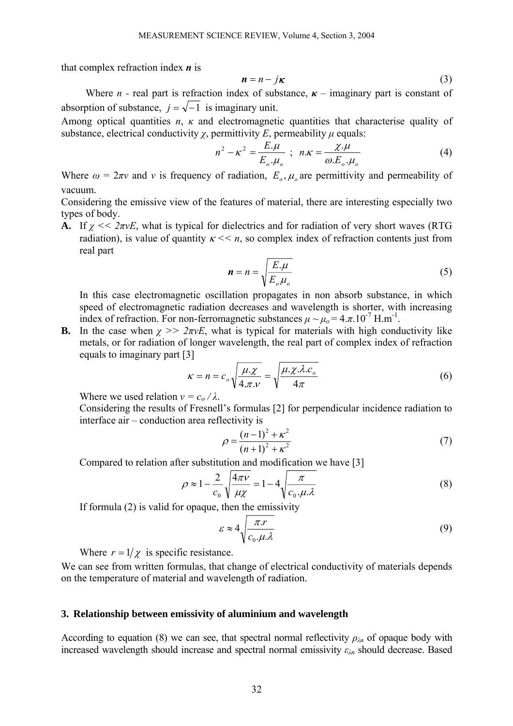that complex refraction index *n* is

$$
n = n - j\kappa \tag{3}
$$

Where *n* - real part is refraction index of substance,  $\kappa$  – imaginary part is constant of absorption of substance,  $j = \sqrt{-1}$  is imaginary unit.

Among optical quantities *n*, *κ* and electromagnetic quantities that characterise quality of substance, electrical conductivity  $\chi$ , permittivity *E*, permeability  $\mu$  equals:

$$
n^2 - \kappa^2 = \frac{E.\mu}{E_o.\mu_o} \ ; \ n.\kappa = \frac{\chi.\mu}{\omega.E_o.\mu_o} \tag{4}
$$

Where  $\omega = 2\pi v$  and v is frequency of radiation,  $E_{\alpha}$ ,  $\mu_{\alpha}$  are permittivity and permeability of vacuum.

Considering the emissive view of the features of material, there are interesting especially two types of body.

**A.** If *χ << 2πνE*, what is typical for dielectrics and for radiation of very short waves (RTG radiation), is value of quantity  $\kappa \ll n$ , so complex index of refraction contents just from real part

$$
n = n = \sqrt{\frac{E.\mu}{E_o\mu_o}}\tag{5}
$$

In this case electromagnetic oscillation propagates in non absorb substance, in which speed of electromagnetic radiation decreases and wavelength is shorter, with increasing index of refraction. For non-ferromagnetic substances  $\mu \sim \mu_0 = 4 \pi .10^{-7}$  H.m<sup>-1</sup>.

**B.** In the case when  $\chi \gg 2\pi vE$ , what is typical for materials with high conductivity like metals, or for radiation of longer wavelength, the real part of complex index of refraction equals to imaginary part [3]

$$
\kappa = n = c_o \sqrt{\frac{\mu \mathcal{X}}{4 \pi \mathcal{X}}} = \sqrt{\frac{\mu \mathcal{X} \mathcal{X} c_o}{4 \pi}}
$$
(6)

Where we used relation  $v = c_0 / \lambda$ .

Considering the results of Fresnell's formulas [2] for perpendicular incidence radiation to interface air – conduction area reflectivity is

$$
\rho = \frac{(n-1)^2 + \kappa^2}{(n+1)^2 + \kappa^2} \tag{7}
$$

Compared to relation after substitution and modification we have [3]

$$
\rho \approx 1 - \frac{2}{c_0} \sqrt{\frac{4\pi v}{\mu \chi}} = 1 - 4 \sqrt{\frac{\pi}{c_0 \cdot \mu \cdot \lambda}}
$$
(8)

If formula (2) is valid for opaque, then the emissivity

$$
\varepsilon \approx 4 \sqrt{\frac{\pi \, r}{c_0 \cdot \mu \, \lambda}} \tag{9}
$$

Where  $r = 1/\chi$  is specific resistance.

We can see from written formulas, that change of electrical conductivity of materials depends on the temperature of material and wavelength of radiation.

#### **3. Relationship between emissivity of aluminium and wavelength**

According to equation (8) we can see, that spectral normal reflectivity  $\rho_{\lambda n}$  of opaque body with increased wavelength should increase and spectral normal emissivity *ελ<sup>n</sup>* should decrease. Based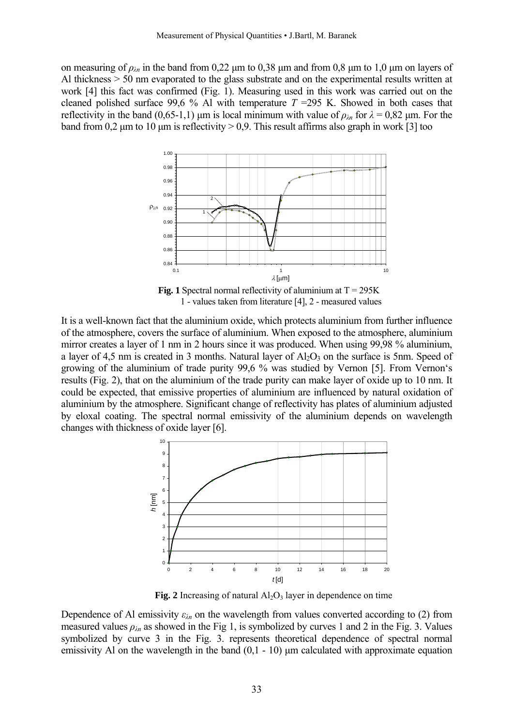on measuring of  $\rho_{\lambda n}$  in the band from 0,22  $\mu$ m to 0,38  $\mu$ m and from 0,8  $\mu$ m to 1,0  $\mu$ m on layers of Al thickness > 50 nm evaporated to the glass substrate and on the experimental results written at work [4] this fact was confirmed (Fig. 1). Measuring used in this work was carried out on the cleaned polished surface 99,6 % Al with temperature  $T = 295$  K. Showed in both cases that reflectivity in the band (0,65-1,1) µm is local minimum with value of  $\rho_{\lambda n}$  for  $\lambda = 0.82$  µm. For the band from 0,2  $\mu$ m to 10  $\mu$ m is reflectivity > 0,9. This result affirms also graph in work [3] too



**Fig. 1** Spectral normal reflectivity of aluminium at  $T = 295K$ 1 - values taken from literature [4], 2 - measured values

It is a well-known fact that the aluminium oxide, which protects aluminium from further influence of the atmosphere, covers the surface of aluminium. When exposed to the atmosphere, aluminium mirror creates a layer of 1 nm in 2 hours since it was produced. When using 99,98 % aluminium, a layer of 4,5 nm is created in 3 months. Natural layer of  $Al_2O_3$  on the surface is 5nm. Speed of growing of the aluminium of trade purity 99,6 % was studied by Vernon [5]. From Vernon's results (Fig. 2), that on the aluminium of the trade purity can make layer of oxide up to 10 nm. It could be expected, that emissive properties of aluminium are influenced by natural oxidation of aluminium by the atmosphere. Significant change of reflectivity has plates of aluminium adjusted by eloxal coating. The spectral normal emissivity of the aluminium depends on wavelength changes with thickness of oxide layer [6].



**Fig. 2** Increasing of natural  $Al_2O_3$  layer in dependence on time

Dependence of Al emissivity  $\varepsilon_{\lambda n}$  on the wavelength from values converted according to (2) from measured values  $\rho_{\lambda n}$  as showed in the Fig 1, is symbolized by curves 1 and 2 in the Fig. 3. Values symbolized by curve 3 in the Fig. 3. represents theoretical dependence of spectral normal emissivity Al on the wavelength in the band  $(0,1 - 10)$  µm calculated with approximate equation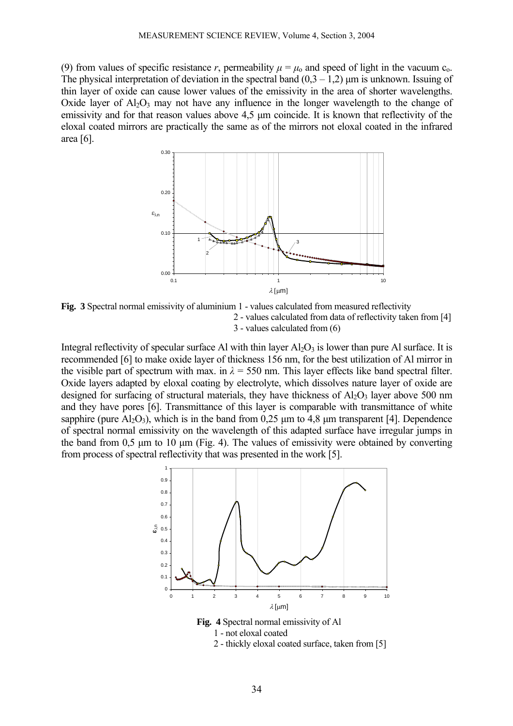(9) from values of specific resistance *r*, permeability  $\mu = \mu_0$  and speed of light in the vacuum c<sub>0</sub>. The physical interpretation of deviation in the spectral band  $(0,3 - 1,2)$  µm is unknown. Issuing of thin layer of oxide can cause lower values of the emissivity in the area of shorter wavelengths. Oxide layer of  $A<sub>12</sub>O<sub>3</sub>$  may not have any influence in the longer wavelength to the change of emissivity and for that reason values above 4,5  $\mu$ m coincide. It is known that reflectivity of the eloxal coated mirrors are practically the same as of the mirrors not eloxal coated in the infrared area [6].



**Fig. 3** Spectral normal emissivity of aluminium 1 - values calculated from measured reflectivity 2 - values calculated from data of reflectivity taken from [4] 3 - values calculated from (6)

Integral reflectivity of specular surface Al with thin layer  $Al_2O_3$  is lower than pure Al surface. It is recommended [6] to make oxide layer of thickness 156 nm, for the best utilization of Al mirror in the visible part of spectrum with max. in  $\lambda = 550$  nm. This layer effects like band spectral filter. Oxide layers adapted by eloxal coating by electrolyte, which dissolves nature layer of oxide are designed for surfacing of structural materials, they have thickness of  $Al_2O_3$  layer above 500 nm and they have pores [6]. Transmittance of this layer is comparable with transmittance of white sapphire (pure  $A<sub>1</sub>O<sub>3</sub>$ ), which is in the band from 0.25 µm to 4.8 µm transparent [4]. Dependence of spectral normal emissivity on the wavelength of this adapted surface have irregular jumps in the band from  $0.5 \mu m$  to 10  $\mu m$  (Fig. 4). The values of emissivity were obtained by converting from process of spectral reflectivity that was presented in the work [5].



**Fig. 4** Spectral normal emissivity of Al 1 - not eloxal coated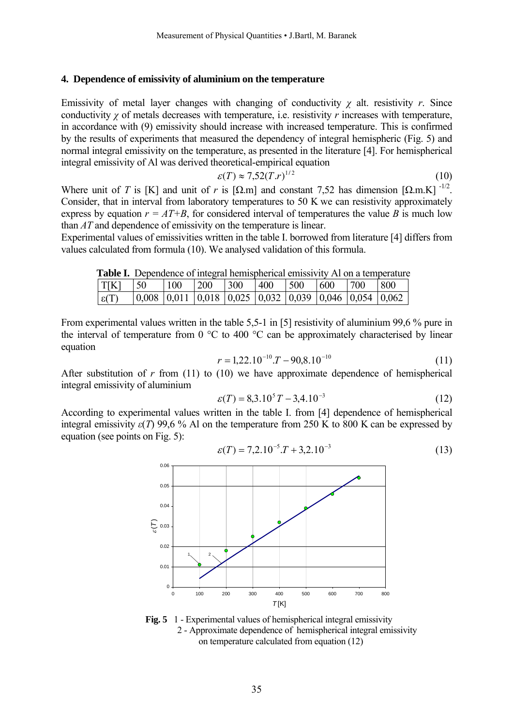#### **4. Dependence of emissivity of aluminium on the temperature**

Emissivity of metal layer changes with changing of conductivity  $\chi$  alt. resistivity  $r$ . Since conductivity *χ* of metals decreases with temperature, i.e. resistivity *r* increases with temperature, in accordance with (9) emissivity should increase with increased temperature. This is confirmed by the results of experiments that measured the dependency of integral hemispheric (Fig. 5) and normal integral emissivity on the temperature, as presented in the literature [4]. For hemispherical integral emissivity of Al was derived theoretical-empirical equation

$$
\varepsilon(T) \approx 7.52(T.r)^{1/2} \tag{10}
$$

Where unit of *T* is [K] and unit of *r* is [ $\Omega$ .m] and constant 7,52 has dimension  $\Omega$ .m.K]  $\frac{1}{2}$ . Consider, that in interval from laboratory temperatures to 50 K we can resistivity approximately express by equation  $r = AT+B$ , for considered interval of temperatures the value *B* is much low than *AT* and dependence of emissivity on the temperature is linear.

Experimental values of emissivities written in the table I. borrowed from literature [4] differs from values calculated from formula (10). We analysed validation of this formula.

|--|

| $T[K]$   50   |                                                                                                               | 100 200 | $\vert 300 \vert$ | $ 400 $ $ 500 $ $ 600 $ |  | $ 700 $ $ 800 $ |  |
|---------------|---------------------------------------------------------------------------------------------------------------|---------|-------------------|-------------------------|--|-----------------|--|
| $\epsilon(T)$ | $\vert 0,008 \vert 0,011 \vert 0,018 \vert 0,025 \vert 0,032 \vert 0,039 \vert 0,046 \vert 0,054 \vert 0,062$ |         |                   |                         |  |                 |  |

From experimental values written in the table 5,5-1 in [5] resistivity of aluminium 99,6 % pure in the interval of temperature from  $0^{\circ}$ C to 400  $^{\circ}$ C can be approximately characterised by linear equation

$$
r = 1,22.10^{-10} \cdot T - 90,8.10^{-10} \tag{11}
$$

After substitution of  $r$  from (11) to (10) we have approximate dependence of hemispherical integral emissivity of aluminium

$$
\varepsilon(T) = 8,3.10^5 T - 3,4.10^{-3}
$$
 (12)

According to experimental values written in the table I. from [4] dependence of hemispherical integral emissivity  $\varepsilon(T)$  99,6 % Al on the temperature from 250 K to 800 K can be expressed by equation (see points on Fig. 5):

$$
\varepsilon(T) = 7,2.10^{-5} \cdot T + 3,2.10^{-3} \tag{13}
$$



**Fig. 5** 1 - Experimental values of hemispherical integral emissivity 2 - Approximate dependence of hemispherical integral emissivity on temperature calculated from equation (12)